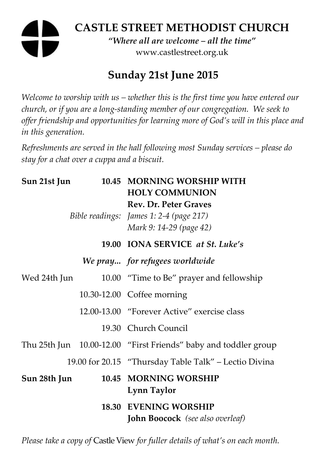# **CASTLE STREET METHODIST CHURCH**  *"Where all are welcome – all the time"*  www.castlestreet.org.uk

## **Sunday 21st June 2015**

*Welcome to worship with us – whether this is the first time you have entered our church, or if you are a long-standing member of our congregation. We seek to offer friendship and opportunities for learning more of God's will in this place and in this generation.* 

*Refreshments are served in the hall following most Sunday services – please do stay for a chat over a cuppa and a biscuit.* 

| Sun 21st Jun |  | 10.45 MORNING WORSHIP WITH<br><b>HOLY COMMUNION</b><br><b>Rev. Dr. Peter Graves</b><br>Bible readings: James 1: 2-4 (page 217)<br>Mark 9: 14-29 (page 42) |
|--------------|--|-----------------------------------------------------------------------------------------------------------------------------------------------------------|
|              |  | 19.00 IONA SERVICE at St. Luke's                                                                                                                          |
|              |  | We pray for refugees worldwide                                                                                                                            |
| Wed 24th Jun |  | 10.00 "Time to Be" prayer and fellowship                                                                                                                  |
|              |  | 10.30-12.00 Coffee morning                                                                                                                                |
|              |  | 12.00-13.00 "Forever Active" exercise class                                                                                                               |
|              |  | 19.30 Church Council                                                                                                                                      |
|              |  | Thu 25th Jun 10.00-12.00 "First Friends" baby and toddler group                                                                                           |
|              |  | 19.00 for 20.15 "Thursday Table Talk" – Lectio Divina                                                                                                     |
| Sun 28th Jun |  | 10.45 MORNING WORSHIP<br>Lynn Taylor                                                                                                                      |
|              |  | <b>18.30 EVENING WORSHIP</b><br><b>John Boocock</b> (see also overleaf)                                                                                   |

*Please take a copy of* Castle View *for fuller details of what's on each month.*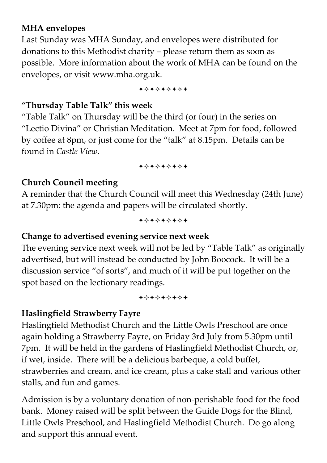#### **MHA envelopes**

Last Sunday was MHA Sunday, and envelopes were distributed for donations to this Methodist charity – please return them as soon as possible. More information about the work of MHA can be found on the envelopes, or visit www.mha.org.uk.

+\*\*\*\*\*\*\*

#### **"Thursday Table Talk" this week**

"Table Talk" on Thursday will be the third (or four) in the series on "Lectio Divina" or Christian Meditation. Meet at 7pm for food, followed by coffee at 8pm, or just come for the "talk" at 8.15pm. Details can be found in *Castle View*.

+\*\*\*\*\*\*\*

#### **Church Council meeting**

A reminder that the Church Council will meet this Wednesday (24th June) at 7.30pm: the agenda and papers will be circulated shortly.

+\*\*\*\*\*\*\*

#### **Change to advertised evening service next week**

The evening service next week will not be led by "Table Talk" as originally advertised, but will instead be conducted by John Boocock. It will be a discussion service "of sorts", and much of it will be put together on the spot based on the lectionary readings.

+\*\*\*\*\*\*\*

#### **Haslingfield Strawberry Fayre**

Haslingfield Methodist Church and the Little Owls Preschool are once again holding a Strawberry Fayre, on Friday 3rd July from 5.30pm until 7pm. It will be held in the gardens of Haslingfield Methodist Church, or, if wet, inside. There will be a delicious barbeque, a cold buffet, strawberries and cream, and ice cream, plus a cake stall and various other stalls, and fun and games.

Admission is by a voluntary donation of non-perishable food for the food bank. Money raised will be split between the Guide Dogs for the Blind, Little Owls Preschool, and Haslingfield Methodist Church. Do go along and support this annual event.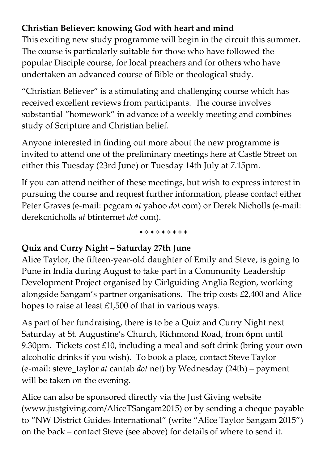## **Christian Believer: knowing God with heart and mind**

This exciting new study programme will begin in the circuit this summer. The course is particularly suitable for those who have followed the popular Disciple course, for local preachers and for others who have undertaken an advanced course of Bible or theological study.

"Christian Believer" is a stimulating and challenging course which has received excellent reviews from participants. The course involves substantial "homework" in advance of a weekly meeting and combines study of Scripture and Christian belief.

Anyone interested in finding out more about the new programme is invited to attend one of the preliminary meetings here at Castle Street on either this Tuesday (23rd June) or Tuesday 14th July at 7.15pm.

If you can attend neither of these meetings, but wish to express interest in pursuing the course and request further information, please contact either Peter Graves (e-mail: pcgcam *at* yahoo *dot* com) or Derek Nicholls (e-mail: derekcnicholls *at* btinternet *dot* com).

+\*\*\*\*\*\*\*

## **Quiz and Curry Night – Saturday 27th June**

Alice Taylor, the fifteen-year-old daughter of Emily and Steve, is going to Pune in India during August to take part in a Community Leadership Development Project organised by Girlguiding Anglia Region, working alongside Sangam's partner organisations. The trip costs £2,400 and Alice hopes to raise at least £1,500 of that in various ways.

As part of her fundraising, there is to be a Quiz and Curry Night next Saturday at St. Augustine's Church, Richmond Road, from 6pm until 9.30pm. Tickets cost £10, including a meal and soft drink (bring your own alcoholic drinks if you wish). To book a place, contact Steve Taylor (e-mail: steve\_taylor *at* cantab *dot* net) by Wednesday (24th) – payment will be taken on the evening.

Alice can also be sponsored directly via the Just Giving website (www.justgiving.com/AliceTSangam2015) or by sending a cheque payable to "NW District Guides International" (write "Alice Taylor Sangam 2015") on the back – contact Steve (see above) for details of where to send it.